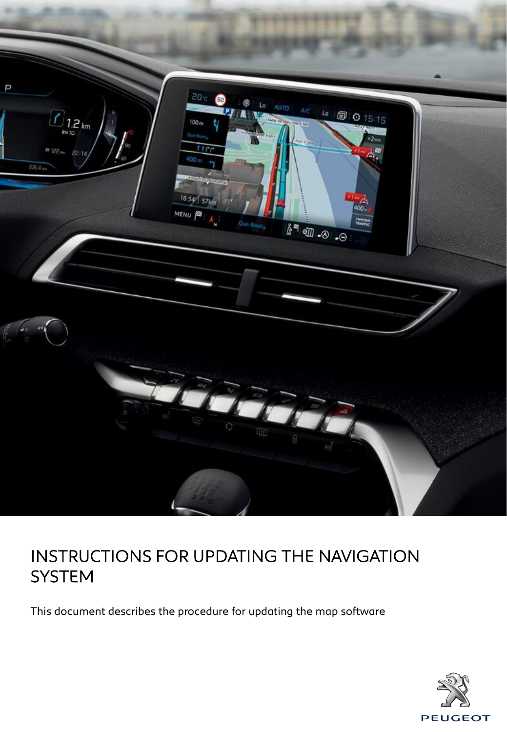

This document describes the procedure for updating the map software

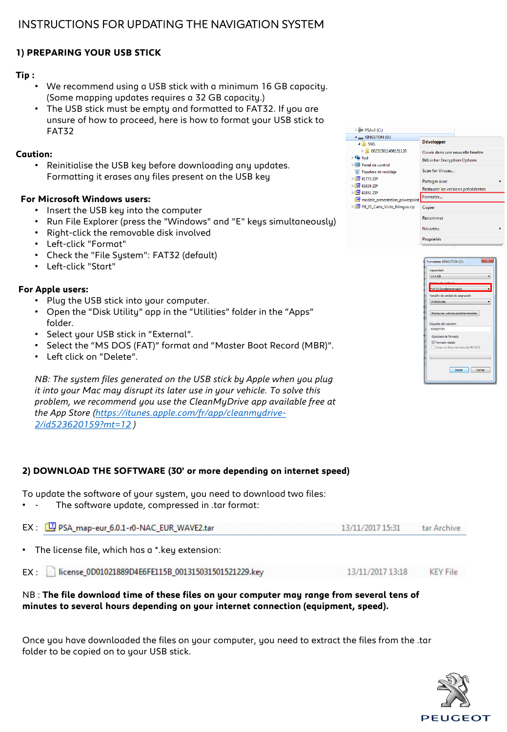# **1) PREPARING YOUR USB STICK**

# **Tip :**

- We recommend using a USB stick with a minimum 16 GB capacity. (Some mapping updates requires a 32 GB capacity.)
- The USB stick must be empty and formatted to FAT32. If you are unsure of how to proceed, here is how to format your USB stick to FAT32

#### **Caution:**

• Reinitialise the USB key before downloading any updates. Formatting it erases any files present on the USB key

### **For Microsoft Windows users:**

- Insert the USB key into the computer
- Run File Explorer (press the "Windows" and "E" keys simultaneously)
- Right-click the removable disk involved
- Left-click "Format"
- Check the "File System": FAT32 (default)
- Left-click "Start"

### **For Apple users:**

- Plug the USB stick into your computer.
- Open the "Disk Utility" app in the "Utilities" folder in the "Apps" folder.
- Select your USB stick in "External".
- Select the "MS DOS (FAT)" format and "Master Boot Record (MBR)".
- Left click on "Delete".

*NB: The system files generated on the USB stick by Apple when you plug it into your Mac may disrupt its later use in your vehicle. To solve this problem, we recommend you use the CleanMyDrive app available free at [the App Store \(https://itunes.apple.com/fr/app/cleanmydrive-](https://itunes.apple.com/fr/app/cleanmydrive-2/id523620159?mt=12)2/id523620159?mt=12 )*

## **2) DOWNLOAD THE SOFTWARE (30' or more depending on internet speed)**

To update the software of your system, you need to download two files:

The software update, compressed in .tar format:

| EX: C PSA_map-eur_6.0.1-r0-NAC_EUR_WAVE2.tar     | 13/11/2017 15:31 | tar Archive |
|--------------------------------------------------|------------------|-------------|
| • The license file, which has a * key extension: |                  |             |

EX : | license\_0D01021889D4E6FE115B\_001315031501521229.key 13/11/2017 13:18 KEY File

### NB : **The file download time of these files on your computer may range from several tens of minutes to several hours depending on your internet connection (equipment, speed).**

Once you have downloaded the files on your computer, you need to extract the files from the .tar folder to be copied on to your USB stick.





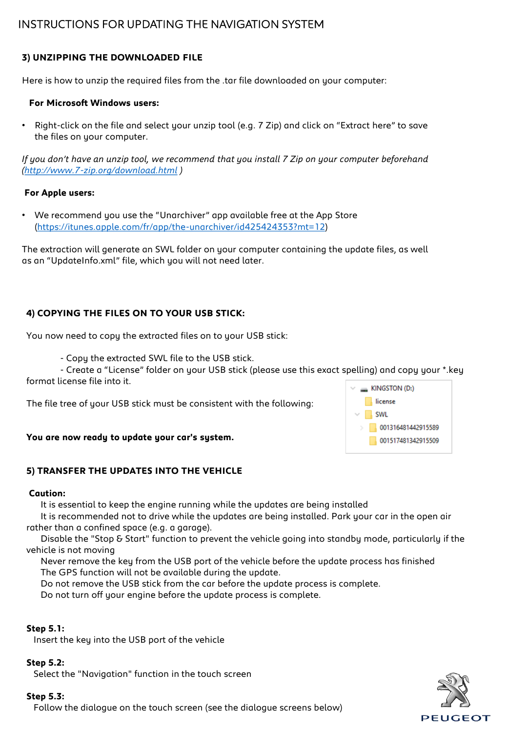## **3) UNZIPPING THE DOWNLOADED FILE**

Here is how to unzip the required files from the .tar file downloaded on your computer:

#### **For Microsoft Windows users:**

• Right-click on the file and select your unzip tool (e.g. 7 Zip) and click on "Extract here" to save the files on your computer.

*If you don't have an unzip tool, we recommend that you install 7 Zip on your computer beforehand [\(http://www.7-zip.org/download.html](http://www.7-zip.org/download.html) )*

#### **For Apple users:**

• We recommend you use the "Unarchiver" app available free at the App Store ([https://itunes.apple.com/fr/app/the-unarchiver/id425424353?mt=12\)](https://itunes.apple.com/fr/app/the-unarchiver/id425424353?mt=12)

The extraction will generate an SWL folder on your computer containing the update files, as well as an "UpdateInfo.xml" file, which you will not need later.

## **4) COPYING THE FILES ON TO YOUR USB STICK:**

You now need to copy the extracted files on to your USB stick:

- Copy the extracted SWL file to the USB stick.

- Create a "License" folder on your USB stick (please use this exact spelling) and copy your \*.key format license file into it.

The file tree of your USB stick must be consistent with the following:

#### **You are now ready to update your car's system.**

#### **5) TRANSFER THE UPDATES INTO THE VEHICLE**

#### **Caution:**

It is essential to keep the engine running while the updates are being installed

It is recommended not to drive while the updates are being installed. Park your car in the open air rather than a confined space (e.g. a garage).

Disable the "Stop & Start" function to prevent the vehicle going into standby mode, particularly if the vehicle is not moving

Never remove the key from the USB port of the vehicle before the update process has finished The GPS function will not be available during the update.

Do not remove the USB stick from the car before the update process is complete.

Do not turn off your engine before the update process is complete.

#### **Step 5.1:**

Insert the key into the USB port of the vehicle

#### **Step 5.2:**

Select the "Navigation" function in the touch screen

#### **Step 5.3:**

Follow the dialogue on the touch screen (see the dialogue screens below)



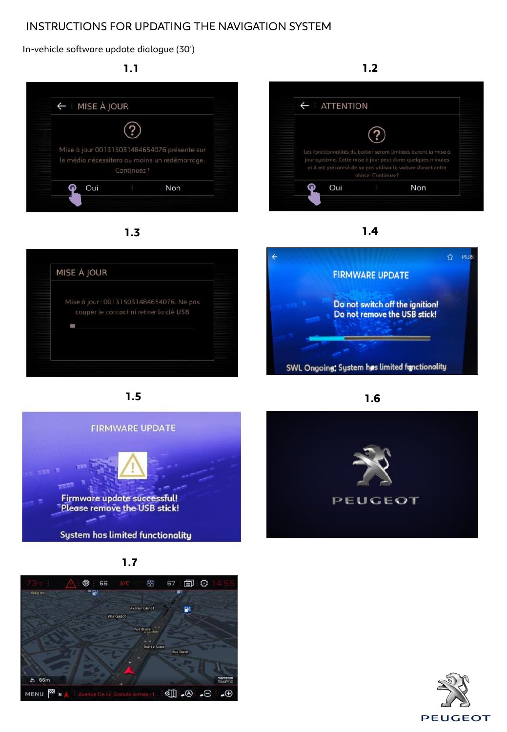In-vehicle software update dialogue (30')



**1.3**